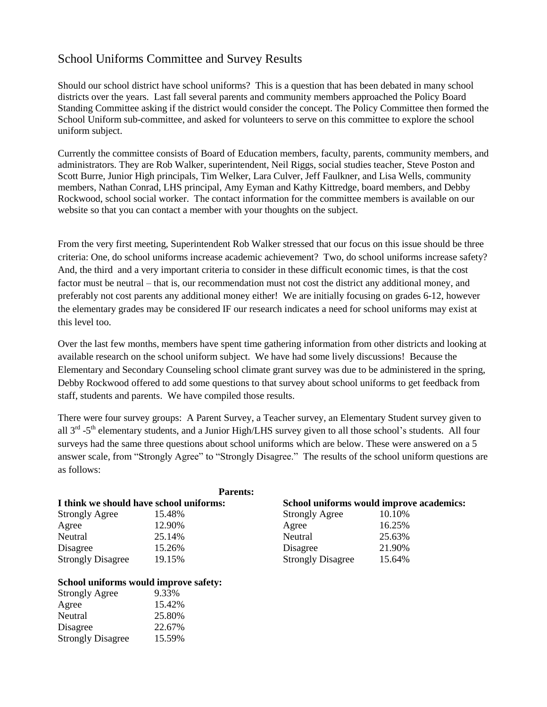# School Uniforms Committee and Survey Results

Should our school district have school uniforms? This is a question that has been debated in many school districts over the years. Last fall several parents and community members approached the Policy Board Standing Committee asking if the district would consider the concept. The Policy Committee then formed the School Uniform sub-committee, and asked for volunteers to serve on this committee to explore the school uniform subject.

Currently the committee consists of Board of Education members, faculty, parents, community members, and administrators. They are Rob Walker, superintendent, Neil Riggs, social studies teacher, Steve Poston and Scott Burre, Junior High principals, Tim Welker, Lara Culver, Jeff Faulkner, and Lisa Wells, community members, Nathan Conrad, LHS principal, Amy Eyman and Kathy Kittredge, board members, and Debby Rockwood, school social worker. The contact information for the committee members is available on our website so that you can contact a member with your thoughts on the subject.

From the very first meeting, Superintendent Rob Walker stressed that our focus on this issue should be three criteria: One, do school uniforms increase academic achievement? Two, do school uniforms increase safety? And, the third and a very important criteria to consider in these difficult economic times, is that the cost factor must be neutral – that is, our recommendation must not cost the district any additional money, and preferably not cost parents any additional money either! We are initially focusing on grades 6-12, however the elementary grades may be considered IF our research indicates a need for school uniforms may exist at this level too.

Over the last few months, members have spent time gathering information from other districts and looking at available research on the school uniform subject. We have had some lively discussions! Because the Elementary and Secondary Counseling school climate grant survey was due to be administered in the spring, Debby Rockwood offered to add some questions to that survey about school uniforms to get feedback from staff, students and parents. We have compiled those results.

There were four survey groups: A Parent Survey, a Teacher survey, an Elementary Student survey given to all  $3<sup>rd</sup> - 5<sup>th</sup>$  elementary students, and a Junior High/LHS survey given to all those school's students. All four surveys had the same three questions about school uniforms which are below. These were answered on a 5 answer scale, from "Strongly Agree" to "Strongly Disagree." The results of the school uniform questions are as follows:

|                                         | <b>Parents:</b> |                                          |        |
|-----------------------------------------|-----------------|------------------------------------------|--------|
| I think we should have school uniforms: |                 | School uniforms would improve academics: |        |
| <b>Strongly Agree</b>                   | 15.48%          | <b>Strongly Agree</b>                    | 10.10% |
| Agree                                   | 12.90%          | Agree                                    | 16.25% |
| Neutral                                 | 25.14%          | Neutral                                  | 25.63% |
| Disagree                                | 15.26%          | Disagree                                 | 21.90% |
| <b>Strongly Disagree</b>                | 19.15%          | <b>Strongly Disagree</b>                 | 15.64% |

# **School uniforms would improve safety:**

| <b>Strongly Agree</b>    | 9.33%  |
|--------------------------|--------|
| Agree                    | 15.42% |
| Neutral                  | 25.80% |
| Disagree                 | 22.67% |
| <b>Strongly Disagree</b> | 15.59% |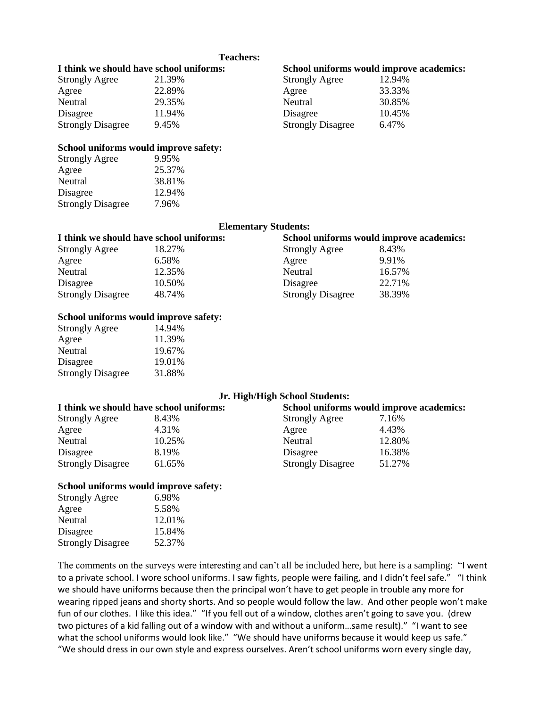### **Teachers:**

| I think we should have school uniforms: |        | School uniforms would improve academics: |        |
|-----------------------------------------|--------|------------------------------------------|--------|
| <b>Strongly Agree</b>                   | 21.39% | <b>Strongly Agree</b>                    | 12.94% |
| Agree                                   | 22.89% | Agree                                    | 33.33% |
| Neutral                                 | 29.35% | Neutral                                  | 30.85% |

| 21.39% | <b>Strongly Agree</b>    | 12.94% |
|--------|--------------------------|--------|
| 22.89% | Agree                    | 33.33% |
| 29.35% | Neutral                  | 30.85% |
| 11.94% | Disagree                 | 10.45% |
| 9.45%  | <b>Strongly Disagree</b> | 6.47%  |
|        |                          |        |

# **School uniforms would improve safety:**

| 9.95%  |
|--------|
| 25.37% |
| 38.81% |
| 12.94% |
| 7.96%  |
|        |

# **Elementary Students:**

| I think we should have school uniforms: |        | School uniforms would improve academics: |        |
|-----------------------------------------|--------|------------------------------------------|--------|
| <b>Strongly Agree</b>                   | 18.27% | <b>Strongly Agree</b>                    | 8.43%  |
| Agree                                   | 6.58%  | Agree                                    | 9.91%  |
| Neutral                                 | 12.35% | Neutral                                  | 16.57% |
| Disagree                                | 10.50% | Disagree                                 | 22.71% |
| <b>Strongly Disagree</b>                | 48.74% | <b>Strongly Disagree</b>                 | 38.39% |

# **School uniforms would improve safety:**

| <b>Strongly Agree</b>    | 14.94% |
|--------------------------|--------|
| Agree                    | 11.39% |
| Neutral                  | 19.67% |
| Disagree                 | 19.01% |
| <b>Strongly Disagree</b> | 31.88% |
|                          |        |

# **Jr. High/High School Students:**

| I think we should have school uniforms: |        | School uniforms would improve academics: |        |
|-----------------------------------------|--------|------------------------------------------|--------|
| <b>Strongly Agree</b>                   | 8.43%  | <b>Strongly Agree</b>                    | 7.16%  |
| Agree                                   | 4.31%  | Agree                                    | 4.43%  |
| Neutral                                 | 10.25% | Neutral                                  | 12.80% |
| Disagree                                | 8.19%  | Disagree                                 | 16.38% |
| <b>Strongly Disagree</b>                | 61.65% | <b>Strongly Disagree</b>                 | 51.27% |

# **School uniforms would improve safety:**

| <b>Strongly Agree</b>    | 6.98%  |
|--------------------------|--------|
| Agree                    | 5.58%  |
| Neutral                  | 12.01% |
| Disagree                 | 15.84% |
| <b>Strongly Disagree</b> | 52.37% |
|                          |        |

The comments on the surveys were interesting and can't all be included here, but here is a sampling: "I went to a private school. I wore school uniforms. I saw fights, people were failing, and I didn't feel safe." "I think we should have uniforms because then the principal won't have to get people in trouble any more for wearing ripped jeans and shorty shorts. And so people would follow the law. And other people won't make fun of our clothes. I like this idea." "If you fell out of a window, clothes aren't going to save you. (drew two pictures of a kid falling out of a window with and without a uniform...same result)." "I want to see what the school uniforms would look like." "We should have uniforms because it would keep us safe." "We should dress in our own style and express ourselves. Aren't school uniforms worn every single day,